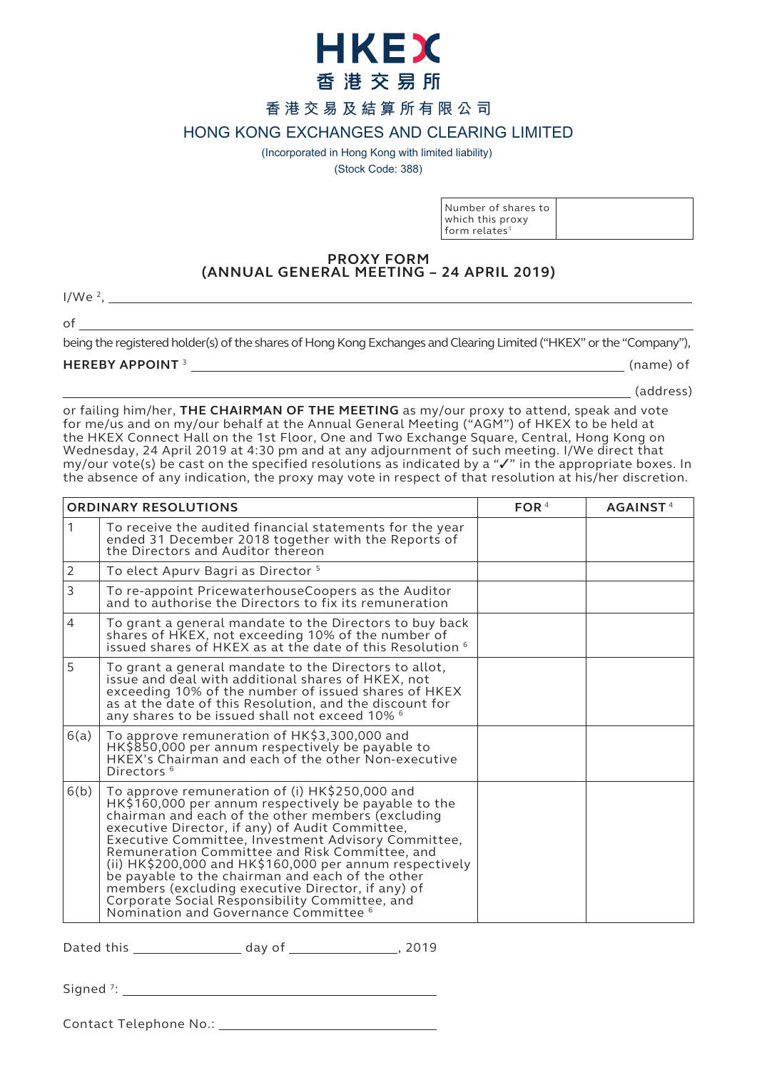

# **香港交易及結算所有限公司**

**HONG KONG EXCHANGES AND CLEARING LIMITED**

(Incorporated in Hong Kong with limited liability)

(Stock Code: 388)

| Number of shares to           |
|-------------------------------|
| which this proxy              |
| $1$ form relates <sup>1</sup> |

### **PROXY FORM (ANNUAL GENERAL MEETING – 24 APRIL 2019)**

 $1/We<sup>2</sup>$ ,

of

being the registered holder(s) of the shares of Hong Kong Exchanges and Clearing Limited ("HKEX" or the "Company"),

## **HEREBY APPOINT** <sup>3</sup> (name) of

(address)

or failing him/her, **THE CHAIRMAN OF THE MEETING** as my/our proxy to attend, speak and vote for me/us and on my/our behalf at the Annual General Meeting ("AGM") of HKEX to be held at the HKEX Connect Hall on the 1st Floor, One and Two Exchange Square, Central, Hong Kong on Wednesday, 24 April 2019 at 4:30 pm and at any adjournment of such meeting. I/We direct that my/our vote(s) be cast on the specified resolutions as indicated by a " $\checkmark$  " in the appropriate boxes. In the absence of any indication, the proxy may vote in respect of that resolution at his/her discretion.

| <b>ORDINARY RESOLUTIONS</b> |                                                                                                                                                                                                                                                                                                                                                                                                                                                                                                                                                                                        | FOR $4$ | AGAINST <sup>4</sup> |
|-----------------------------|----------------------------------------------------------------------------------------------------------------------------------------------------------------------------------------------------------------------------------------------------------------------------------------------------------------------------------------------------------------------------------------------------------------------------------------------------------------------------------------------------------------------------------------------------------------------------------------|---------|----------------------|
| 1                           | To receive the audited financial statements for the year<br>ended 31 December 2018 together with the Reports of<br>the Directors and Auditor thereon                                                                                                                                                                                                                                                                                                                                                                                                                                   |         |                      |
| 2                           | To elect Apurv Bagri as Director <sup>5</sup>                                                                                                                                                                                                                                                                                                                                                                                                                                                                                                                                          |         |                      |
| 3                           | To re-appoint PricewaterhouseCoopers as the Auditor<br>and to authorise the Directors to fix its remuneration                                                                                                                                                                                                                                                                                                                                                                                                                                                                          |         |                      |
| $\overline{4}$              | To grant a general mandate to the Directors to buy back<br>shares of HKEX, not exceeding 10% of the number of<br>issued shares of HKEX as at the date of this Resolution <sup>6</sup>                                                                                                                                                                                                                                                                                                                                                                                                  |         |                      |
| 5                           | To grant a general mandate to the Directors to allot,<br>issue and deal with additional shares of HKEX, not<br>exceeding 10% of the number of issued shares of HKEX<br>as at the date of this Resolution, and the discount for<br>any shares to be issued shall not exceed 10% 6                                                                                                                                                                                                                                                                                                       |         |                      |
| 6(a)                        | To approve remuneration of HK\$3,300,000 and<br>HK\$850,000 per annum respectively be payable to<br>HKEX's Chairman and each of the other Non-executive<br>Directors <sup>6</sup>                                                                                                                                                                                                                                                                                                                                                                                                      |         |                      |
| 6(b)                        | To approve remuneration of (i) HK\$250,000 and<br>HK\$160,000 per annum respectively be payable to the<br>chairman and each of the other members (excluding<br>executive Director, if any) of Audit Committee,<br>Executive Committee, Investment Advisory Committee,<br>Remuneration Committee and Risk Committee, and<br>(ii) HK\$200,000 and HK\$160,000 per annum respectively<br>be payable to the chairman and each of the other<br>members (excluding executive Director, if any) of<br>Corporate Social Responsibility Committee, and<br>Nomination and Governance Committee 6 |         |                      |

Dated this \_\_\_\_\_\_\_\_\_\_\_\_\_\_\_\_\_\_ day of \_\_\_\_\_\_\_\_\_\_\_\_\_\_\_\_\_, 2019

Signed <sup>7</sup>:

Contact Telephone No.: